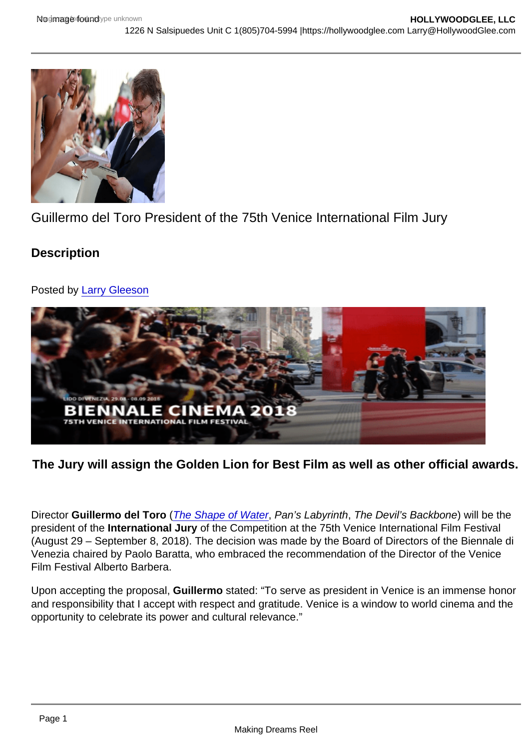## Guillermo del Toro President of the 75th Venice International Film Jury

**Description** 

Posted by [Larry Gleeson](https://studentfilmreviews.org/?s=larry+gleeson)

The Jury will assign the Golden Lion for Best Film as well as other official awards.

Director Guillermo del Toro [\(The Shape of Water,](http://hollywoodglee.com/2018/01/28/film-review-the-shape-of-water-guillermo-del-toro-2017-usa/) Pan's Labyrinth, The Devil's Backbone) will be the president of the International Jury of the Competition at the 75th Venice International Film Festival (August 29 – September 8, 2018). The decision was made by the Board of Directors of the Biennale di Venezia chaired by Paolo Baratta, who embraced the recommendation of the Director of the Venice Film Festival Alberto Barbera.

Upon accepting the proposal, Guillermo stated: "To serve as president in Venice is an immense honor and responsibility that I accept with respect and gratitude. Venice is a window to world cinema and the opportunity to celebrate its power and cultural relevance."